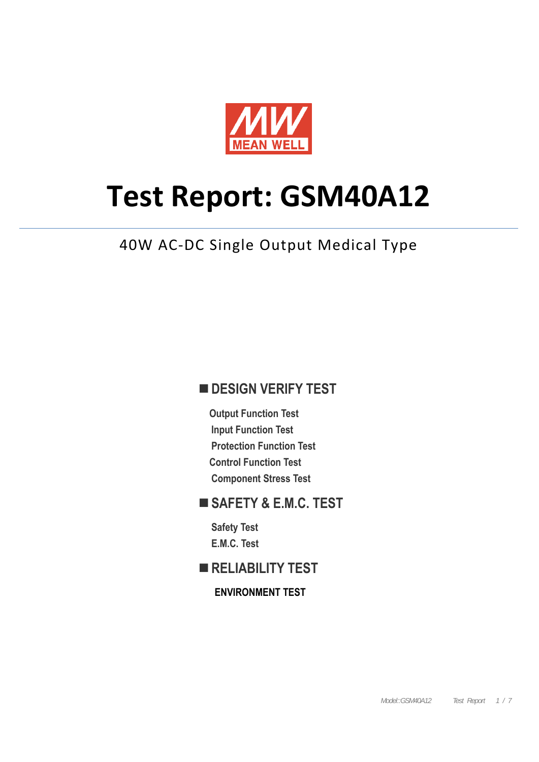

# **Test Report: GSM40A12**

### 40W AC-DC Single Output Medical Type

#### **DESIGN VERIFY TEST**

**Output Function Test Input Function Test Protection Function Test Control Function Test Component Stress Test** 

#### **SAFETY & E.M.C. TEST**

**Safety Test E.M.C. Test** 

#### **RELIABILITY TEST**

**ENVIRONMENT TEST**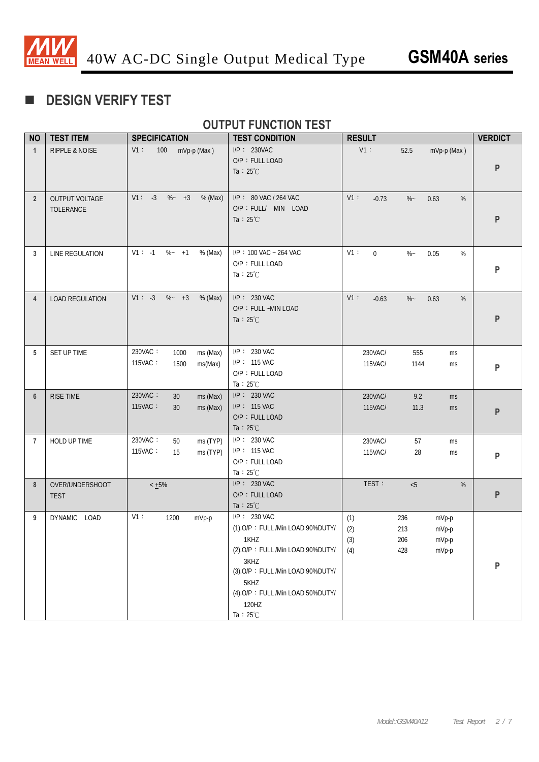

#### **DESIGN VERIFY TEST**

#### **OUTPUT FUNCTION TEST**

| <b>NO</b>      | <b>TEST ITEM</b>               | <b>SPECIFICATION</b>                                      | <b>TEST CONDITION</b>                                                                                                                                                                                               | <b>RESULT</b>                                                                            | <b>VERDICT</b> |
|----------------|--------------------------------|-----------------------------------------------------------|---------------------------------------------------------------------------------------------------------------------------------------------------------------------------------------------------------------------|------------------------------------------------------------------------------------------|----------------|
| $\mathbf{1}$   | <b>RIPPLE &amp; NOISE</b>      | V1:<br>100 <sub>1</sub><br>mVp-p (Max)                    | $I/P$ : 230VAC<br>O/P: FULL LOAD<br>Ta : $25^{\circ}$ C                                                                                                                                                             | V1:<br>52.5<br>mVp-p (Max)                                                               | P              |
| $\overline{2}$ | OUTPUT VOLTAGE<br>TOLERANCE    | $V1: -3 \%~+3$<br>% (Max)                                 | I/P: 80 VAC / 264 VAC<br>O/P : FULL/ MIN LOAD<br>Ta : $25^{\circ}$ C                                                                                                                                                | $V1$ :<br>$-0.73$<br>$\%$ ~<br>0.63<br>%                                                 | P              |
| 3              | LINE REGULATION                | $V1: -1$ %- +1<br>% (Max)                                 | I/P: 100 VAC ~ 264 VAC<br>O/P: FULL LOAD<br>Ta : $25^{\circ}$ C                                                                                                                                                     | V1:<br>$\overline{0}$<br>$\%$ –<br>0.05<br>%                                             | P              |
| 4              | <b>LOAD REGULATION</b>         | $V1: -3 \, % -4 = 3$<br>% (Max)                           | $I/P$ : 230 VAC<br>O/P: FULL ~MIN LOAD<br>Ta : $25^{\circ}$ C                                                                                                                                                       | V1:<br>$-0.63$<br>$\%$ ~<br>0.63<br>%                                                    | P              |
| 5              | SET UP TIME                    | 230VAC:<br>1000<br>ms (Max)<br>115VAC:<br>1500<br>ms(Max) | $I/P$ : 230 VAC<br>I/P: 115 VAC<br>O/P: FULL LOAD<br>Ta: $25^{\circ}$ C                                                                                                                                             | 230VAC/<br>555<br>ms<br>115VAC/<br>1144<br>ms                                            | P              |
| $6\phantom{1}$ | <b>RISE TIME</b>               | 230VAC:<br>30<br>ms (Max)<br>115VAC:<br>ms (Max)<br>30    | $I/P$ : 230 VAC<br>$I/P$ : 115 VAC<br>O/P: FULL LOAD<br>Ta : $25^{\circ}$ C                                                                                                                                         | 230VAC/<br>9.2<br>ms<br>115VAC/<br>11.3<br>ms                                            | P              |
| $\overline{7}$ | HOLD UP TIME                   | 230VAC:<br>ms (TYP)<br>50<br>115VAC:<br>ms (TYP)<br>15    | $I/P: 230$ VAC<br>I/P: 115 VAC<br>O/P: FULL LOAD<br>Ta : $25^{\circ}$ C                                                                                                                                             | 230VAC/<br>57<br>ms<br>115VAC/<br>28<br>ms                                               | P              |
| 8              | OVER/UNDERSHOOT<br><b>TEST</b> | $< +5\%$                                                  | $I/P$ : 230 VAC<br>O/P: FULL LOAD<br>Ta : $25^{\circ}$ C                                                                                                                                                            | TEST:<br>< 5<br>%                                                                        | ${\sf P}$      |
| 9              | DYNAMIC LOAD                   | V1:<br>1200<br>mVp-p                                      | I/P: 230 VAC<br>(1).O/P: FULL /Min LOAD 90%DUTY/<br>1KHZ<br>(2).O/P: FULL /Min LOAD 90%DUTY/<br>3KHZ<br>(3).O/P: FULL /Min LOAD 90%DUTY/<br>5KHZ<br>(4).O/P: FULL /Min LOAD 50%DUTY/<br>120HZ<br>Ta: $25^{\circ}$ C | 236<br>(1)<br>mVp-p<br>(2)<br>213<br>mVp-p<br>(3)<br>206<br>mVp-p<br>(4)<br>428<br>mVp-p | P              |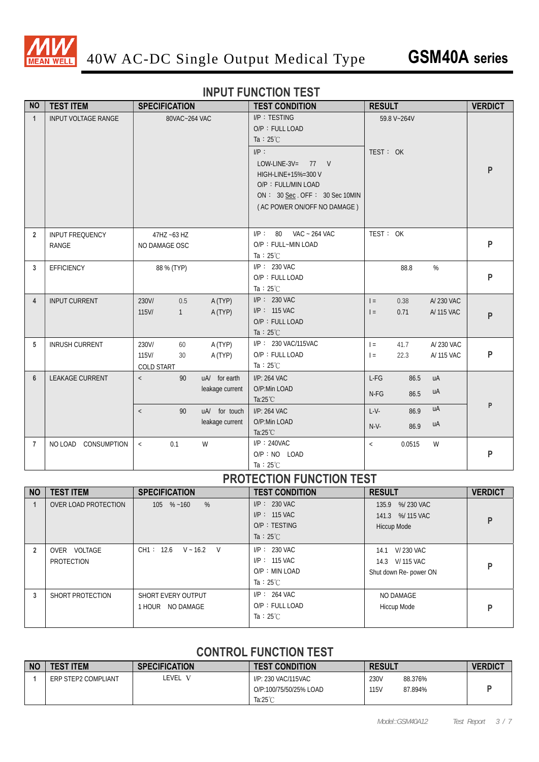

#### **INPUT FUNCTION TEST**

| <b>NO</b>      | <b>TEST ITEM</b>                       | <b>SPECIFICATION</b>                            |                                                                      | <b>TEST CONDITION</b>                                                                                                                                                                                | <b>RESULT</b>                      |                              |                          | <b>VERDICT</b> |
|----------------|----------------------------------------|-------------------------------------------------|----------------------------------------------------------------------|------------------------------------------------------------------------------------------------------------------------------------------------------------------------------------------------------|------------------------------------|------------------------------|--------------------------|----------------|
| $\mathbf{1}$   | INPUT VOLTAGE RANGE                    | 80VAC~264 VAC                                   |                                                                      | I/P: TESTING<br>O/P: FULL LOAD<br>Ta : $25^{\circ}$ C<br>$I/P$ :<br>LOW-LINE-3V= $77$ V<br>HIGH-LINE+15%=300 V<br>O/P: FULL/MIN LOAD<br>ON: 30 Sec. OFF: 30 Sec 10MIN<br>(AC POWER ON/OFF NO DAMAGE) | TEST: OK                           | 59.8 V~264V                  |                          | P              |
| $\overline{2}$ | <b>INPUT FREQUENCY</b><br><b>RANGE</b> | 47HZ ~63 HZ<br>NO DAMAGE OSC                    |                                                                      | I/P: 80<br>VAC ~ 264 VAC<br>O/P: FULL~MIN LOAD<br>Ta: $25^{\circ}$ C                                                                                                                                 | TEST: OK                           |                              |                          | P              |
| 3              | EFFICIENCY                             | 88 % (TYP)                                      |                                                                      | $I/P$ : 230 VAC<br>O/P: FULL LOAD<br>Ta : $25^{\circ}$ C                                                                                                                                             |                                    | 88.8                         | $\%$                     | P              |
| 4              | <b>INPUT CURRENT</b>                   | 230V/<br>0.5<br>$115$ V/<br>$\mathbf{1}$        | A (TYP)<br>A (TYP)                                                   | $I/P$ : 230 VAC<br>I/P: 115 VAC<br>O/P: FULL LOAD<br>Ta : $25^{\circ}$ C                                                                                                                             | $=$<br>$I =$                       | 0.38<br>0.71                 | A/230 VAC<br>A/ 115 VAC  | P              |
| 5              | <b>INRUSH CURRENT</b>                  | 230V/<br>60<br>115V/<br>30<br><b>COLD START</b> | A (TYP)<br>A (TYP)                                                   | I/P: 230 VAC/115VAC<br>O/P: FULL LOAD<br>Ta : $25^{\circ}$ C                                                                                                                                         | $=$<br>$=$                         | 41.7<br>22.3                 | A/ 230 VAC<br>A/ 115 VAC | P              |
| $6\phantom{1}$ | LEAKAGE CURRENT                        | 90<br>$\,<\,$<br>90<br>$\,<\,$                  | uA/ for earth<br>leakage current<br>uA/ for touch<br>leakage current | I/P: 264 VAC<br>O/P:Min LOAD<br>Ta:25°C<br>I/P: 264 VAC<br>O/P:Min LOAD<br>Ta:25°C                                                                                                                   | $L-FG$<br>N-FG<br>$L-V-$<br>$N-V-$ | 86.5<br>86.5<br>86.9<br>86.9 | uA<br>uA<br>uA<br>uA     | P              |
| $\overline{7}$ | NO LOAD CONSUMPTION                    | 0.1<br>$\langle$                                | W                                                                    | $I/P$ : 240VAC<br>O/P: NO LOAD<br>Ta: $25^{\circ}$ C                                                                                                                                                 | $\lt$                              | 0.0515                       | W                        | P              |

#### **PROTECTION FUNCTION TEST**

| <b>NO</b> | <b>TEST ITEM</b>           | <b>SPECIFICATION</b>                      | <b>TEST CONDITION</b>                                                      | <b>RESULT</b>                                                 | <b>VERDICT</b> |
|-----------|----------------------------|-------------------------------------------|----------------------------------------------------------------------------|---------------------------------------------------------------|----------------|
|           | OVER LOAD PROTECTION       | %<br>$105 \quad \% \sim 160$              | $I/P: 230$ VAC<br>$IP: 115$ VAC<br>$O/P$ : TESTING<br>Ta : $25^{\circ}$ C  | 135.9 %/230 VAC<br>141.3 %/115 VAC<br><b>Hiccup Mode</b>      | P              |
|           | OVER VOLTAGE<br>PROTECTION | CH1: 12.6 V ~ 16.2 V                      | $I/P: 230$ VAC<br>$IP: 115$ VAC<br>$O/P$ : MIN LOAD<br>Ta : $25^{\circ}$ C | V/230 VAC<br>14.1<br>14.3 V/115 VAC<br>Shut down Re- power ON | P              |
| 3         | SHORT PROTECTION           | SHORT EVERY OUTPUT<br>NO DAMAGE<br>1 HOUR | $I/P$ : 264 VAC<br>O/P: FULL LOAD<br>Ta : $25^{\circ}$ C                   | NO DAMAGE<br>Hiccup Mode                                      | P              |

#### **CONTROL FUNCTION TEST**

| <b>NO</b> | <b>TEST ITEM</b>    | <b>SPECIFICATION</b> | <b>TEST CONDITION</b>                                           | <b>RESULT</b>                      | <b>VERDIC1</b> |
|-----------|---------------------|----------------------|-----------------------------------------------------------------|------------------------------------|----------------|
|           | ERP STEP2 COMPLIANT | _EVEL                | I/P: 230 VAC/115VAC<br>O/P:100/75/50/25% LOAD<br>Ta: $25^\circ$ | 230V<br>88.376%<br>115V<br>87.894% |                |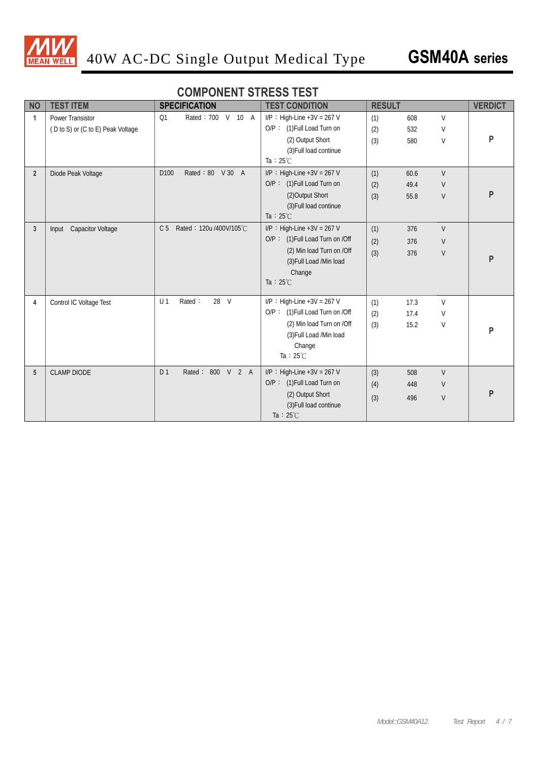

#### **COMPONENT STRESS TEST**

| <b>NO</b>      | <b>TEST ITEM</b>                  | <b>SPECIFICATION</b>                      | <b>TEST CONDITION</b>           | <b>RESULT</b> |      |              | <b>VERDICT</b> |
|----------------|-----------------------------------|-------------------------------------------|---------------------------------|---------------|------|--------------|----------------|
| $\mathbf{1}$   | <b>Power Transistor</b>           | Rated: 700 V 10 A<br>Q1                   | $I/P$ : High-Line +3V = 267 V   | (1)           | 608  | $\vee$       |                |
|                | (D to S) or (C to E) Peak Voltage |                                           | O/P: (1) Full Load Turn on      | (2)           | 532  | $\vee$       |                |
|                |                                   |                                           | (2) Output Short                | (3)           | 580  | $\mathsf V$  | P              |
|                |                                   |                                           | (3) Full load continue          |               |      |              |                |
|                |                                   |                                           | Ta : $25^{\circ}$ C             |               |      |              |                |
| $\overline{2}$ | Diode Peak Voltage                | D <sub>100</sub><br>Rated: 80 V 30 A      | $I/P$ : High-Line +3V = 267 V   | (1)           | 60.6 | $\vee$       |                |
|                |                                   |                                           | O/P: (1) Full Load Turn on      | (2)           | 49.4 | V            |                |
|                |                                   |                                           | (2) Output Short                | (3)           | 55.8 | $\sf V$      | P              |
|                |                                   |                                           | (3) Full load continue          |               |      |              |                |
|                |                                   |                                           | Ta : $25^{\circ}$ C             |               |      |              |                |
| 3              | <b>Capacitor Voltage</b><br>Input | C <sub>5</sub><br>Rated: 120u /400V/105°C | $I/P$ : High-Line +3V = 267 V   | (1)           | 376  | $\mathsf{V}$ |                |
|                |                                   |                                           | O/P: (1) Full Load Turn on /Off | (2)           | 376  | $\vee$       |                |
|                |                                   |                                           | (2) Min load Turn on /Off       | (3)           | 376  | $\sf V$      |                |
|                |                                   |                                           | (3) Full Load /Min load         |               |      |              | P              |
|                |                                   |                                           | Change                          |               |      |              |                |
|                |                                   |                                           | Ta : $25^{\circ}$ C             |               |      |              |                |
| 4              | Control IC Voltage Test           | 28 V<br>U <sub>1</sub><br>Rated:          | $I/P$ : High-Line +3V = 267 V   | (1)           | 17.3 | $\vee$       |                |
|                |                                   |                                           | O/P: (1) Full Load Turn on /Off | (2)           | 17.4 | $\vee$       |                |
|                |                                   |                                           | (2) Min load Turn on /Off       | (3)           | 15.2 | V            |                |
|                |                                   |                                           | (3) Full Load /Min load         |               |      |              | P              |
|                |                                   |                                           | Change                          |               |      |              |                |
|                |                                   |                                           | Ta : $25^{\circ}$ C             |               |      |              |                |
| 5              | <b>CLAMP DIODE</b>                | Rated: 800 V 2 A<br>D <sub>1</sub>        | $I/P$ : High-Line +3V = 267 V   | (3)           | 508  | V            |                |
|                |                                   |                                           | O/P: (1) Full Load Turn on      | (4)           | 448  | $\vee$       |                |
|                |                                   |                                           | (2) Output Short                | (3)           | 496  | V            | P              |
|                |                                   |                                           | (3) Full load continue          |               |      |              |                |
|                |                                   |                                           | Ta : $25^{\circ}$ C             |               |      |              |                |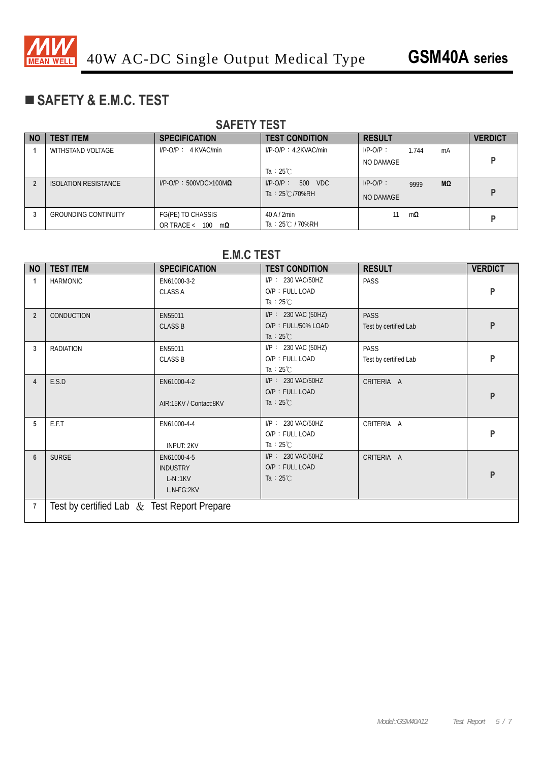

#### **SAFETY & E.M.C. TEST**

#### **SAFETY TEST**  NO | TEST ITEM | SPECIFICATION | TEST CONDITION | RESULT | VERDICT 1 | WITHSTAND VOLTAGE | I/P-O/P: 4 KVAC/min | I/P-O/P: 4.2KVAC/min Ta:25℃ I/P-O/P: 1.744 mA NO DAMAGE **P 2** ISOLATION RESISTANCE I/P-O/P:500VDC>100M**Ω** I/P-O/P: 500 VDC Ta: 25℃/70%RH I/P-O/P: 9999 **MΩ NO DAMAGE P 3** GROUNDING CONTINUITY FG(PE) TO CHASSIS OR TRACE < 100 m**Ω** 40 A / 2min Ta: 25℃ / 70%RH 11 m**<sup>Ω</sup> P**

#### **E.M.C TEST**

| <b>NO</b>      | <b>TEST ITEM</b>                              | <b>SPECIFICATION</b>                                      | <b>TEST CONDITION</b>                                            | <b>RESULT</b>                        | <b>VERDICT</b> |
|----------------|-----------------------------------------------|-----------------------------------------------------------|------------------------------------------------------------------|--------------------------------------|----------------|
|                | <b>HARMONIC</b>                               | EN61000-3-2<br><b>CLASS A</b>                             | I/P: 230 VAC/50HZ<br>O/P: FULL LOAD<br>Ta : $25^{\circ}$ C       | PASS                                 | P              |
| $\overline{2}$ | CONDUCTION                                    | EN55011<br><b>CLASS B</b>                                 | I/P: 230 VAC (50HZ)<br>O/P: FULL/50% LOAD<br>Ta : $25^{\circ}$ C | <b>PASS</b><br>Test by certified Lab | P              |
| 3              | <b>RADIATION</b>                              | EN55011<br><b>CLASS B</b>                                 | I/P: 230 VAC (50HZ)<br>O/P: FULL LOAD<br>Ta : $25^{\circ}$ C     | <b>PASS</b><br>Test by certified Lab | P              |
| $\overline{4}$ | E.S.D                                         | EN61000-4-2<br>AIR:15KV / Contact:8KV                     | I/P: 230 VAC/50HZ<br>O/P: FULL LOAD<br>Ta : $25^{\circ}$ C       | CRITERIA A                           | P              |
| 5              | E.F.T                                         | EN61000-4-4<br><b>INPUT: 2KV</b>                          | I/P: 230 VAC/50HZ<br>O/P: FULL LOAD<br>Ta : $25^{\circ}$ C       | CRITERIA A                           | P              |
| $6\phantom{1}$ | <b>SURGE</b>                                  | EN61000-4-5<br><b>INDUSTRY</b><br>$L-N:1KV$<br>L,N-FG:2KV | $I/P$ : 230 VAC/50HZ<br>O/P: FULL LOAD<br>Ta : $25^{\circ}$ C    | CRITERIA A                           | P              |
| $\overline{7}$ | Test by certified Lab $&$ Test Report Prepare |                                                           |                                                                  |                                      |                |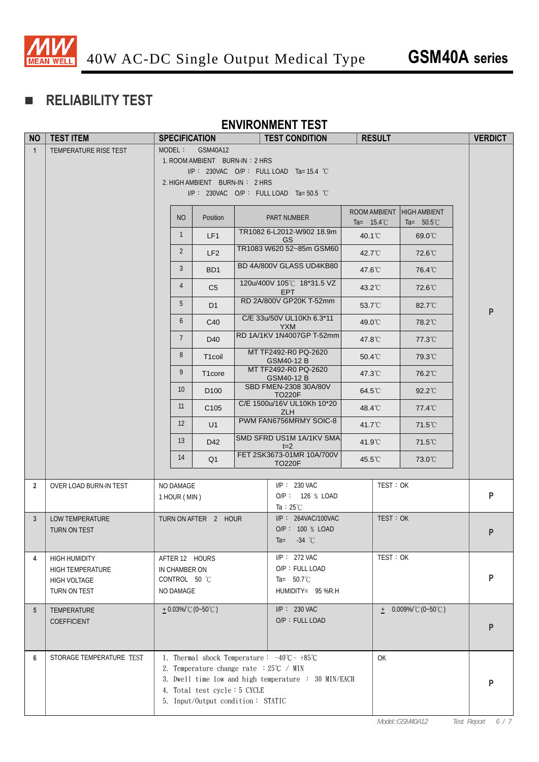

### **RELIABILITY TEST**

#### **ENVIRONMENT TEST**

| <b>NO</b>       | <b>TEST ITEM</b>                                                                       |                            | <b>SPECIFICATION</b>                                                                                                           | <b>TEST CONDITION</b>                                                                                                                | <b>RESULT</b>        |                                                   | <b>VERDICT</b> |
|-----------------|----------------------------------------------------------------------------------------|----------------------------|--------------------------------------------------------------------------------------------------------------------------------|--------------------------------------------------------------------------------------------------------------------------------------|----------------------|---------------------------------------------------|----------------|
| $\mathbf{1}$    | TEMPERATURE RISE TEST                                                                  |                            | MODEL: GSM40A12<br>1. ROOM AMBIENT BURN-IN: 2 HRS<br>2. HIGH AMBIENT BURN-IN: 2 HRS                                            | $I/P$ : 230VAC O/P: FULL LOAD Ta=15.4 °C<br>I/P: 230VAC O/P: FULL LOAD Ta=50.5 °C                                                    |                      |                                                   |                |
|                 |                                                                                        | <b>NO</b>                  | Position                                                                                                                       | PART NUMBER                                                                                                                          | Ta= $15.4^{\circ}$ C | ROOM AMBIENT HIGH AMBIENT<br>Ta= $50.5^{\circ}$ C |                |
|                 |                                                                                        | $\mathbf{1}$               | LF1                                                                                                                            | TR1082 6-L2012-W902 18.9m<br>GS                                                                                                      | 40.1°C               | 69.0°C                                            |                |
|                 |                                                                                        | $\overline{2}$             | LF <sub>2</sub>                                                                                                                | TR1083 W620 52~85m GSM60                                                                                                             | 42.7°C               | 72.6°C                                            |                |
|                 |                                                                                        | 3                          | BD <sub>1</sub>                                                                                                                | BD 4A/800V GLASS UD4KB80                                                                                                             | 47.6°C               | 76.4°C                                            |                |
|                 |                                                                                        | $\overline{4}$             | C <sub>5</sub>                                                                                                                 | 120u/400V 105°C 18*31.5 VZ<br><b>EPT</b>                                                                                             | $43.2^{\circ}$ C     | 72.6°C                                            |                |
|                 |                                                                                        | 5                          | D <sub>1</sub>                                                                                                                 | RD 2A/800V GP20K T-52mm                                                                                                              | 53.7°C               | 82.7°C                                            | ${\sf P}$      |
|                 |                                                                                        | 6                          | C40                                                                                                                            | C/E 33u/50V UL10Kh 6.3*11<br><b>YXM</b>                                                                                              | 49.0°C               | 78.2°C                                            |                |
|                 |                                                                                        | $7\phantom{.0}$            | D40                                                                                                                            | RD 1A/1KV 1N4007GP T-52mm                                                                                                            | 47.8°C               | 77.3°C                                            |                |
|                 |                                                                                        | 8                          | T <sub>1</sub> coil                                                                                                            | MT TF2492-R0 PQ-2620<br>GSM40-12 B                                                                                                   | $50.4^{\circ}$ C     | 79.3°C                                            |                |
|                 |                                                                                        | 9                          | T <sub>1</sub> core                                                                                                            | MT TF2492-R0 PQ-2620<br>GSM40-12 B                                                                                                   | 47.3°C               | 76.2°C                                            |                |
|                 |                                                                                        | 10 <sup>°</sup>            | D <sub>100</sub>                                                                                                               | SBD FMEN-2308 30A/80V<br><b>TO220F</b>                                                                                               | $64.5^{\circ}$ C     | 92.2°C                                            |                |
|                 |                                                                                        | 11                         | C <sub>105</sub>                                                                                                               | C/E 1500u/16V UL10Kh 10*20<br><b>ZLH</b>                                                                                             | 48.4°C               | 77.4°C                                            |                |
|                 |                                                                                        | $12 \overline{ }$          | U1                                                                                                                             | PWM FAN6756MRMY SOIC-8                                                                                                               | 41.7°C               | 71.5°C                                            |                |
|                 |                                                                                        | 13                         | D42                                                                                                                            | SMD SFRD US1M 1A/1KV SMA<br>$t=2$                                                                                                    | 41.9°C               | $71.5^{\circ}$ C                                  |                |
|                 |                                                                                        | 14                         | Q1                                                                                                                             | FET 2SK3673-01MR 10A/700V<br><b>TO220F</b>                                                                                           | 45.5°C               | 73.0°C                                            |                |
| $\overline{2}$  | OVER LOAD BURN-IN TEST                                                                 | NO DAMAGE<br>1 HOUR (MIN)  |                                                                                                                                | $I/P$ : 230 VAC<br>O/P: 126 % LOAD<br>Ta : $25^{\circ}$ C                                                                            |                      | TEST: OK                                          | P              |
| 3 <sup>5</sup>  | <b>LOW TEMPERATURE</b><br>TURN ON TEST                                                 |                            | TURN ON AFTER 2 HOUR                                                                                                           | I/P: 264VAC/100VAC<br>O/P: 100 % LOAD<br>$-34$ °C<br>$Ta =$                                                                          |                      | TEST: OK                                          | $\mathsf{P}$   |
| 4               | <b>HIGH HUMIDITY</b><br><b>HIGH TEMPERATURE</b><br><b>HIGH VOLTAGE</b><br>TURN ON TEST | IN CHAMBER ON<br>NO DAMAGE | AFTER 12 HOURS<br>CONTROL 50 °C                                                                                                | I/P: 272 VAC<br>O/P: FULL LOAD<br>Ta= $50.7^{\circ}$ C<br>HUMIDITY= 95 %R.H                                                          |                      | TEST: OK                                          | P              |
| $5\overline{)}$ | TEMPERATURE<br><b>COEFFICIENT</b>                                                      |                            | $+0.03\%$ $^{\circ}$ C (0~50 $^{\circ}$ C)                                                                                     | $I/P$ : 230 VAC<br>O/P: FULL LOAD                                                                                                    |                      | $\pm 0.009\%$ $^{\circ}$ C (0~50 $^{\circ}$ C)    | P              |
| 6               | STORAGE TEMPERATURE TEST                                                               |                            | 2. Temperature change rate $:25^{\circ}C \rightarrow MIN$<br>4. Total test cycle: 5 CYCLE<br>5. Input/Output condition: STATIC | 1. Thermal shock Temperature: $-40^{\circ}\text{C} \sim +85^{\circ}\text{C}$<br>3. Dwell time low and high temperature : 30 MIN/EACH | <b>OK</b>            |                                                   | P              |